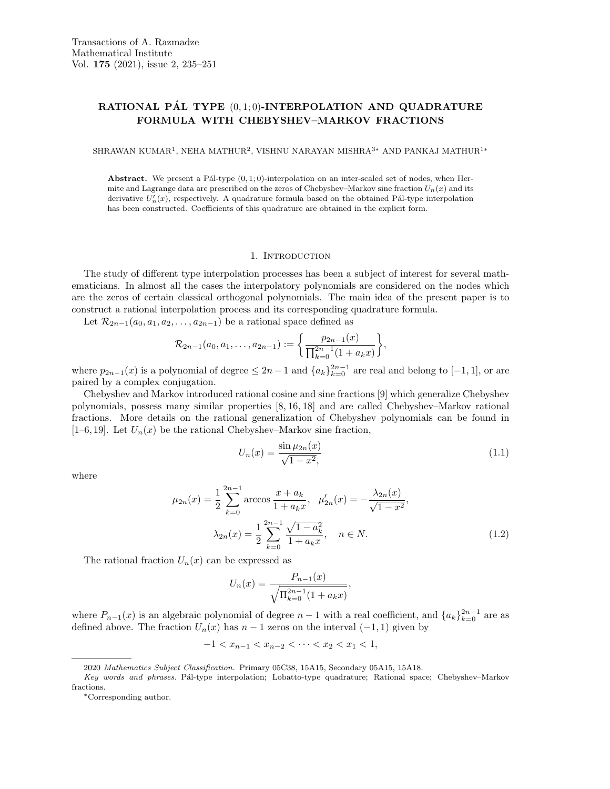# RATIONAL PÁL TYPE  $(0, 1; 0)$ -INTERPOLATION AND QUADRATURE FORMULA WITH CHEBYSHEV–MARKOV FRACTIONS

SHRAWAN KUMAR<sup>1</sup>, NEHA MATHUR<sup>2</sup>, VISHNU NARAYAN MISHRA $^{3\ast}$  AND PANKAJ MATHUR $^{1\ast}$ 

Abstract. We present a Pál-type  $(0, 1; 0)$ -interpolation on an inter-scaled set of nodes, when Hermite and Lagrange data are prescribed on the zeros of Chebyshev–Markov sine fraction  $U_n(x)$  and its derivative  $U'_n(x)$ , respectively. A quadrature formula based on the obtained Pál-type interpolation has been constructed. Coefficients of this quadrature are obtained in the explicit form.

#### 1. INTRODUCTION

The study of different type interpolation processes has been a subject of interest for several mathematicians. In almost all the cases the interpolatory polynomials are considered on the nodes which are the zeros of certain classical orthogonal polynomials. The main idea of the present paper is to construct a rational interpolation process and its corresponding quadrature formula.

Let  $\mathcal{R}_{2n-1}(a_0, a_1, a_2, \ldots, a_{2n-1})$  be a rational space defined as

$$
\mathcal{R}_{2n-1}(a_0,a_1,\ldots,a_{2n-1}) := \left\{ \frac{p_{2n-1}(x)}{\prod_{k=0}^{2n-1} (1 + a_k x)} \right\},\,
$$

where  $p_{2n-1}(x)$  is a polynomial of degree  $\leq 2n-1$  and  $\{a_k\}_{k=0}^{2n-1}$  are real and belong to  $[-1,1]$ , or are paired by a complex conjugation.

Chebyshev and Markov introduced rational cosine and sine fractions [9] which generalize Chebyshev polynomials, possess many similar properties [8, 16, 18] and are called Chebyshev–Markov rational fractions. More details on the rational generalization of Chebyshev polynomials can be found in [1–6, 19]. Let  $U_n(x)$  be the rational Chebyshev–Markov sine fraction,

$$
U_n(x) = \frac{\sin \mu_{2n}(x)}{\sqrt{1 - x^2}},
$$
\n(1.1)

where

$$
\mu_{2n}(x) = \frac{1}{2} \sum_{k=0}^{2n-1} \arccos \frac{x + a_k}{1 + a_k x}, \quad \mu'_{2n}(x) = -\frac{\lambda_{2n}(x)}{\sqrt{1 - x^2}},
$$

$$
\lambda_{2n}(x) = \frac{1}{2} \sum_{k=0}^{2n-1} \frac{\sqrt{1 - a_k^2}}{1 + a_k x}, \quad n \in N.
$$
(1.2)

The rational fraction  $U_n(x)$  can be expressed as

$$
U_n(x) = \frac{P_{n-1}(x)}{\sqrt{\prod_{k=0}^{2n-1} (1 + a_k x)}},
$$

where  $P_{n-1}(x)$  is an algebraic polynomial of degree  $n-1$  with a real coefficient, and  $\{a_k\}_{k=0}^{2n-1}$  are as defined above. The fraction  $U_n(x)$  has  $n-1$  zeros on the interval  $(-1,1)$  given by

 $-1 < x_{n-1} < x_{n-2} < \cdots < x_2 < x_1 < 1$ 

<sup>2020</sup> Mathematics Subject Classification. Primary 05C38, 15A15, Secondary 05A15, 15A18.

Key words and phrases. Pál-type interpolation; Lobatto-type quadrature; Rational space; Chebyshev–Markov fractions.

<sup>∗</sup>Corresponding author.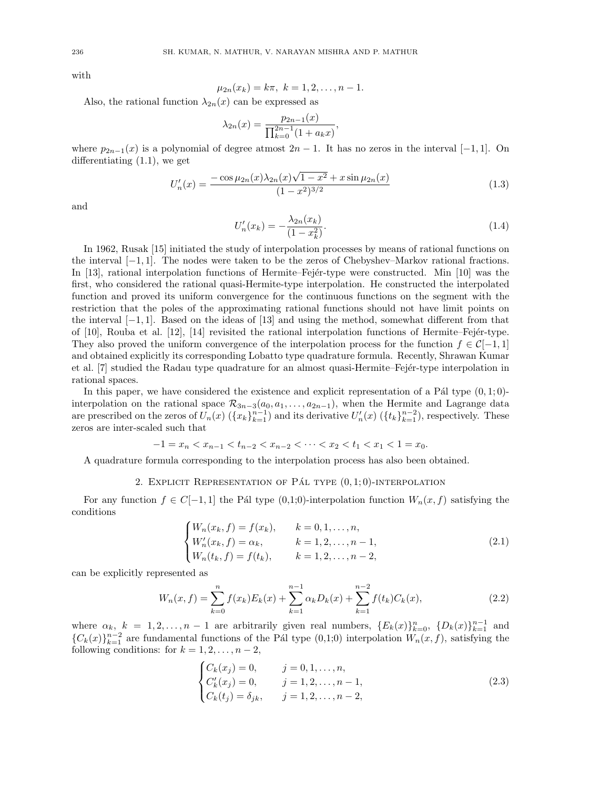with

$$
\mu_{2n}(x_k) = k\pi, \ k = 1, 2, \dots, n-1.
$$

Also, the rational function  $\lambda_{2n}(x)$  can be expressed as

$$
\lambda_{2n}(x) = \frac{p_{2n-1}(x)}{\prod_{k=0}^{2n-1} (1 + a_k x)},
$$

where  $p_{2n-1}(x)$  is a polynomial of degree atmost  $2n-1$ . It has no zeros in the interval [-1, 1]. On differentiating (1.1), we get

$$
U'_n(x) = \frac{-\cos\mu_{2n}(x)\lambda_{2n}(x)\sqrt{1-x^2} + x\sin\mu_{2n}(x)}{(1-x^2)^{3/2}}
$$
(1.3)

and

$$
U'_n(x_k) = -\frac{\lambda_{2n}(x_k)}{(1 - x_k^2)}.
$$
\n(1.4)

In 1962, Rusak [15] initiated the study of interpolation processes by means of rational functions on the interval [−1, 1]. The nodes were taken to be the zeros of Chebyshev–Markov rational fractions. In  $[13]$ , rational interpolation functions of Hermite–Fejer-type were constructed. Min  $[10]$  was the first, who considered the rational quasi-Hermite-type interpolation. He constructed the interpolated function and proved its uniform convergence for the continuous functions on the segment with the restriction that the poles of the approximating rational functions should not have limit points on the interval  $[-1, 1]$ . Based on the ideas of [13] and using the method, somewhat different from that of  $[10]$ , Rouba et al.  $[12]$ ,  $[14]$  revisited the rational interpolation functions of Hermite–Fejér-type. They also proved the uniform convergence of the interpolation process for the function  $f \in \mathcal{C}[-1,1]$ and obtained explicitly its corresponding Lobatto type quadrature formula. Recently, Shrawan Kumar et al. [7] studied the Radau type quadrature for an almost quasi-Hermite–Fejer-type interpolation in rational spaces.

In this paper, we have considered the existence and explicit representation of a Pál type  $(0, 1; 0)$ interpolation on the rational space  $\mathcal{R}_{3n-3}(a_0, a_1, \ldots, a_{2n-1})$ , when the Hermite and Lagrange data are prescribed on the zeros of  $U_n(x)$   $(\{x_k\}_{k=1}^{n-1})$  and its derivative  $U'_n(x)$   $(\{t_k\}_{k=1}^{n-2})$ , respectively. These zeros are inter-scaled such that

$$
-1 = x_n < x_{n-1} < t_{n-2} < x_{n-2} < \dots < x_2 < t_1 < x_1 < 1 = x_0.
$$

A quadrature formula corresponding to the interpolation process has also been obtained.

## 2. EXPLICIT REPRESENTATION OF PÁL TYPE  $(0, 1; 0)$ -INTERPOLATION

For any function  $f \in C[-1,1]$  the Pál type (0,1;0)-interpolation function  $W_n(x, f)$  satisfying the conditions

$$
\begin{cases}\nW_n(x_k, f) = f(x_k), & k = 0, 1, \dots, n, \\
W'_n(x_k, f) = \alpha_k, & k = 1, 2, \dots, n - 1, \\
W_n(t_k, f) = f(t_k), & k = 1, 2, \dots, n - 2,\n\end{cases}
$$
\n(2.1)

can be explicitly represented as

$$
W_n(x,f) = \sum_{k=0}^n f(x_k) E_k(x) + \sum_{k=1}^{n-1} \alpha_k D_k(x) + \sum_{k=1}^{n-2} f(t_k) C_k(x), \qquad (2.2)
$$

where  $\alpha_k$ ,  $k = 1, 2, ..., n-1$  are arbitrarily given real numbers,  $\{E_k(x)\}_{k=0}^n$ ,  $\{D_k(x)\}_{k=1}^{n-1}$  and  ${C_k(x)}_{k=1}^{n-2}$  are fundamental functions of the Pál type (0,1;0) interpolation  $W_n(x, f)$ , satisfying the following conditions: for  $k = 1, 2, \ldots, n - 2$ ,

$$
\begin{cases}\nC_k(x_j) = 0, & j = 0, 1, ..., n, \\
C'_k(x_j) = 0, & j = 1, 2, ..., n - 1, \\
C_k(t_j) = \delta_{jk}, & j = 1, 2, ..., n - 2,\n\end{cases}
$$
\n(2.3)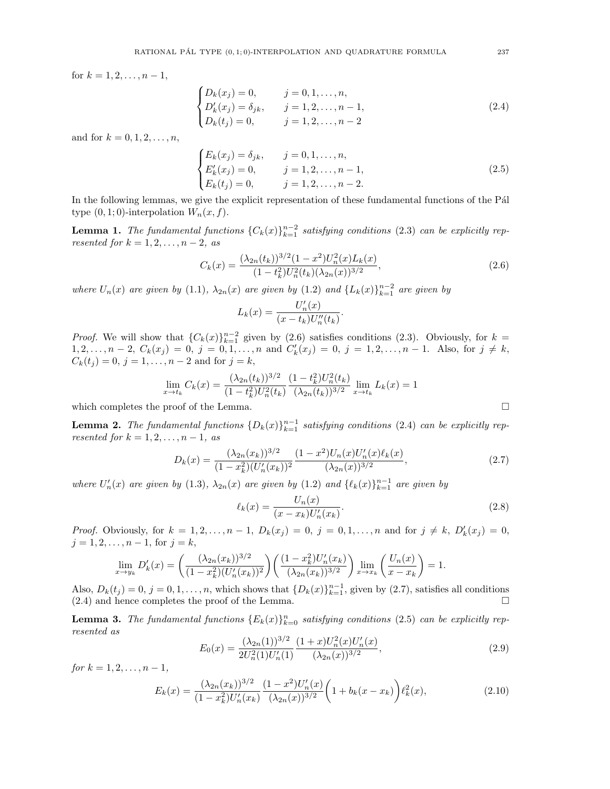for  $k = 1, 2, \ldots, n - 1$ ,

$$
\begin{cases}\nD_k(x_j) = 0, & j = 0, 1, ..., n, \\
D'_k(x_j) = \delta_{jk}, & j = 1, 2, ..., n - 1, \\
D_k(t_j) = 0, & j = 1, 2, ..., n - 2\n\end{cases}
$$
\n(2.4)

and for  $k = 0, 1, 2, ..., n$ ,

$$
\begin{cases}\nE_k(x_j) = \delta_{jk}, & j = 0, 1, ..., n, \\
E'_k(x_j) = 0, & j = 1, 2, ..., n - 1, \\
E_k(t_j) = 0, & j = 1, 2, ..., n - 2.\n\end{cases}
$$
\n(2.5)

In the following lemmas, we give the explicit representation of these fundamental functions of the Pál type  $(0, 1; 0)$ -interpolation  $W_n(x, f)$ .

**Lemma 1.** The fundamental functions  ${C_k(x)}_{k=1}^{n-2}$  satisfying conditions (2.3) can be explicitly represented for  $k = 1, 2, \ldots, n-2,$  as

$$
C_k(x) = \frac{(\lambda_{2n}(t_k))^{3/2} (1 - x^2) U_n^2(x) L_k(x)}{(1 - t_k^2) U_n^2(t_k) (\lambda_{2n}(x))^{3/2}},
$$
\n(2.6)

where  $U_n(x)$  are given by (1.1),  $\lambda_{2n}(x)$  are given by (1.2) and  $\{L_k(x)\}_{k=1}^{n-2}$  are given by

$$
L_k(x) = \frac{U'_n(x)}{(x - t_k)U''_n(t_k)}.
$$

*Proof.* We will show that  ${C_k(x)}_{k=1}^{n-2}$  given by (2.6) satisfies conditions (2.3). Obviously, for  $k =$  $1, 2, \ldots, n-2$ ,  $C_k(x_j) = 0$ ,  $j = 0, 1, \ldots, n$  and  $C'_k(x_j) = 0$ ,  $j = 1, 2, \ldots, n-1$ . Also, for  $j \neq k$ ,  $C_k(t_j) = 0, j = 1, \ldots, n-2$  and for  $j = k$ ,

$$
\lim_{x \to t_k} C_k(x) = \frac{(\lambda_{2n}(t_k))^{3/2}}{(1 - t_k^2)U_n^2(t_k)} \frac{(1 - t_k^2)U_n^2(t_k)}{(\lambda_{2n}(t_k))^{3/2}} \lim_{x \to t_k} L_k(x) = 1
$$
\nproof of the Lemma

which completes the proof of the Lemma.

**Lemma 2.** The fundamental functions  ${D_k(x)}_{k=1}^{n-1}$  satisfying conditions (2.4) can be explicitly represented for  $k = 1, 2, \ldots, n - 1$ , as

$$
D_k(x) = \frac{(\lambda_{2n}(x_k))^{3/2}}{(1 - x_k^2)(U_n'(x_k))^2} \frac{(1 - x^2)U_n(x)U_n'(x)\ell_k(x)}{(\lambda_{2n}(x))^{3/2}},
$$
\n(2.7)

where  $U'_n(x)$  are given by (1.3),  $\lambda_{2n}(x)$  are given by (1.2) and  $\{\ell_k(x)\}_{k=1}^{n-1}$  are given by

$$
\ell_k(x) = \frac{U_n(x)}{(x - x_k)U'_n(x_k)}.\t(2.8)
$$

*Proof.* Obviously, for  $k = 1, 2, ..., n - 1$ ,  $D_k(x_j) = 0$ ,  $j = 0, 1, ..., n$  and for  $j \neq k$ ,  $D'_k(x_j) = 0$ ,  $j = 1, 2, \ldots, n - 1$ , for  $j = k$ ,

$$
\lim_{x \to y_k} D'_k(x) = \left(\frac{(\lambda_{2n}(x_k))^{3/2}}{(1-x_k^2)(U'_n(x_k))^2}\right) \left(\frac{(1-x_k^2)U'_n(x_k)}{(\lambda_{2n}(x_k))^{3/2}}\right) \lim_{x \to x_k} \left(\frac{U_n(x)}{x-x_k}\right) = 1.
$$

Also,  $D_k(t_j) = 0$ ,  $j = 0, 1, ..., n$ , which shows that  $\{D_k(x)\}_{k=1}^{n-1}$ , given by  $(2.7)$ , satisfies all conditions  $(2.4)$  and hence completes the proof of the Lemma.

**Lemma 3.** The fundamental functions  ${E_k(x)}_{k=0}^n$  satisfying conditions (2.5) can be explicitly represented as

$$
E_0(x) = \frac{(\lambda_{2n}(1))^{3/2}}{2U_n^2(1)U_n'(1)} \frac{(1+x)U_n^2(x)U_n'(x)}{(\lambda_{2n}(x))^{3/2}},
$$
\n(2.9)

for  $k = 1, 2, ..., n - 1$ ,

$$
E_k(x) = \frac{(\lambda_{2n}(x_k))^{3/2}}{(1-x_k^2)U'_n(x_k)} \frac{(1-x^2)U'_n(x)}{(\lambda_{2n}(x))^{3/2}} \left(1 + b_k(x - x_k)\right) \ell_k^2(x),\tag{2.10}
$$

$$
\Box
$$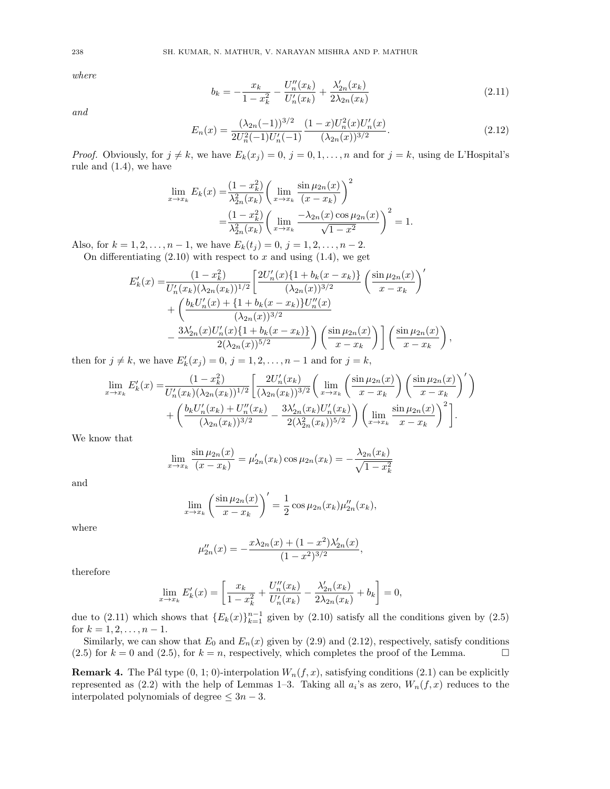$$
b_k = -\frac{x_k}{1 - x_k^2} - \frac{U_n''(x_k)}{U_n'(x_k)} + \frac{\lambda_{2n}'(x_k)}{2\lambda_{2n}(x_k)}
$$
(2.11)

and

$$
E_n(x) = \frac{(\lambda_{2n}(-1))^{3/2}}{2U_n^2(-1)U_n'(-1)} \frac{(1-x)U_n^2(x)U_n'(x)}{(\lambda_{2n}(x))^{3/2}}.
$$
\n(2.12)

*Proof.* Obviously, for  $j \neq k$ , we have  $E_k(x_j) = 0$ ,  $j = 0, 1, ..., n$  and for  $j = k$ , using de L'Hospital's rule and (1.4), we have

$$
\lim_{x \to x_k} E_k(x) = \frac{(1 - x_k^2)}{\lambda_{2n}^2(x_k)} \left( \lim_{x \to x_k} \frac{\sin \mu_{2n}(x)}{(x - x_k)} \right)^2
$$

$$
= \frac{(1 - x_k^2)}{\lambda_{2n}^2(x_k)} \left( \lim_{x \to x_k} \frac{-\lambda_{2n}(x) \cos \mu_{2n}(x)}{\sqrt{1 - x^2}} \right)^2 = 1.
$$

Also, for  $k = 1, 2, ..., n - 1$ , we have  $E_k(t_j) = 0, j = 1, 2, ..., n - 2$ .

On differentiating  $(2.10)$  with respect to x and using  $(1.4)$ , we get

$$
E'_{k}(x) = \frac{(1 - x_{k}^{2})}{U'_{n}(x_{k})(\lambda_{2n}(x_{k}))^{1/2}} \left[ \frac{2U'_{n}(x)\{1 + b_{k}(x - x_{k})\}}{(\lambda_{2n}(x))^{3/2}} \left( \frac{\sin \mu_{2n}(x)}{x - x_{k}} \right)^{'} + \left( \frac{b_{k}U'_{n}(x) + \{1 + b_{k}(x - x_{k})\}U''_{n}(x)}{(\lambda_{2n}(x))^{3/2}} - \frac{3\lambda'_{2n}(x)U'_{n}(x)\{1 + b_{k}(x - x_{k})\}}{2(\lambda_{2n}(x))^{5/2}} \right) \left( \frac{\sin \mu_{2n}(x)}{x - x_{k}} \right) \left[ \left( \frac{\sin \mu_{2n}(x)}{x - x_{k}} \right)^{3/2} \right],
$$

then for  $j \neq k$ , we have  $E'_k(x_j) = 0$ ,  $j = 1, 2, \ldots, n - 1$  and for  $j = k$ ,

$$
\lim_{x \to x_k} E'_k(x) = \frac{(1 - x_k^2)}{U'_n(x_k)(\lambda_{2n}(x_k))^{1/2}} \left[ \frac{2U'_n(x_k)}{(\lambda_{2n}(x_k))^{3/2}} \left( \lim_{x \to x_k} \left( \frac{\sin \mu_{2n}(x)}{x - x_k} \right) \left( \frac{\sin \mu_{2n}(x)}{x - x_k} \right)' \right) + \left( \frac{b_k U'_n(x_k) + U''_n(x_k)}{(\lambda_{2n}(x_k))^{3/2}} - \frac{3\lambda'_{2n}(x_k)U'_n(x_k)}{2(\lambda_{2n}^2(x_k))^{5/2}} \right) \left( \lim_{x \to x_k} \frac{\sin \mu_{2n}(x)}{x - x_k} \right)^2 \right].
$$

We know that

$$
\lim_{x \to x_k} \frac{\sin \mu_{2n}(x)}{(x - x_k)} = \mu'_{2n}(x_k) \cos \mu_{2n}(x_k) = -\frac{\lambda_{2n}(x_k)}{\sqrt{1 - x_k^2}}
$$

and

$$
\lim_{x \to x_k} \left( \frac{\sin \mu_{2n}(x)}{x - x_k} \right)' = \frac{1}{2} \cos \mu_{2n}(x_k) \mu_{2n}''(x_k),
$$

where

$$
\mu_{2n}''(x) = -\frac{x\lambda_{2n}(x) + (1 - x^2)\lambda_{2n}'(x)}{(1 - x^2)^{3/2}},
$$

therefore

$$
\lim_{x \to x_k} E'_k(x) = \left[ \frac{x_k}{1 - x_k^2} + \frac{U''_n(x_k)}{U'_n(x_k)} - \frac{\lambda'_{2n}(x_k)}{2\lambda_{2n}(x_k)} + b_k \right] = 0,
$$

due to (2.11) which shows that  ${E_k(x)}_{k=1}^{n-1}$  given by (2.10) satisfy all the conditions given by (2.5) for  $k = 1, 2, \ldots, n - 1$ .

Similarly, we can show that  $E_0$  and  $E_n(x)$  given by (2.9) and (2.12), respectively, satisfy conditions  $(2.5)$  for  $k = 0$  and  $(2.5)$ , for  $k = n$ , respectively, which completes the proof of the Lemma.

**Remark 4.** The Pál type  $(0, 1; 0)$ -interpolation  $W_n(f, x)$ , satisfying conditions  $(2.1)$  can be explicitly represented as  $(2.2)$  with the help of Lemmas 1–3. Taking all  $a_i$ 's as zero,  $W_n(f, x)$  reduces to the interpolated polynomials of degree  $\leq 3n-3$ .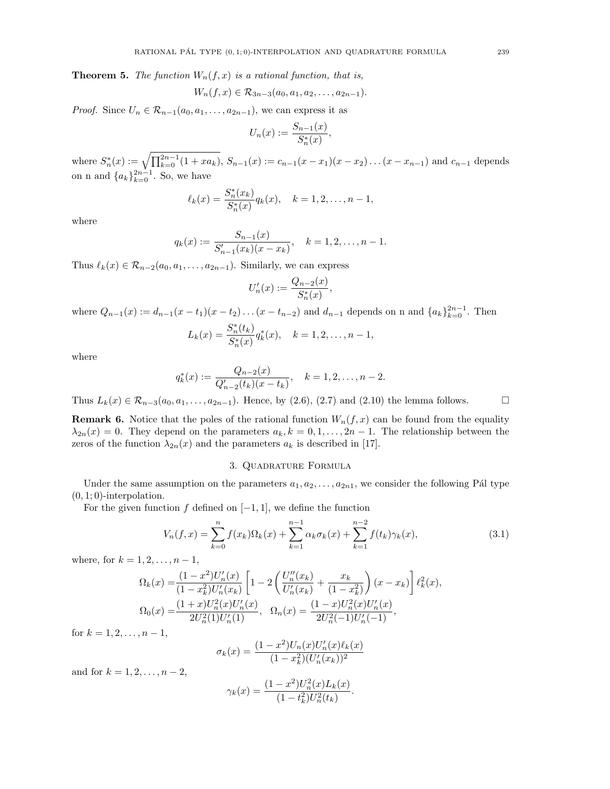**Theorem 5.** The function  $W_n(f, x)$  is a rational function, that is,

$$
W_n(f, x) \in \mathcal{R}_{3n-3}(a_0, a_1, a_2, \ldots, a_{2n-1}).
$$

*Proof.* Since  $U_n \in \mathcal{R}_{n-1}(a_0, a_1, \ldots, a_{2n-1})$ , we can express it as

$$
U_n(x) := \frac{S_{n-1}(x)}{S_n^*(x)},
$$

where  $S_n^*(x) := \sqrt{\prod_{k=0}^{2n-1}(1 + xa_k)}$ ,  $S_{n-1}(x) := c_{n-1}(x - x_1)(x - x_2) \dots (x - x_{n-1})$  and  $c_{n-1}$  depends on n and  ${a_k}_{k=0}^{2n-1}$ . So, we have

$$
\ell_k(x) = \frac{S_n^*(x_k)}{S_n^*(x)} q_k(x), \quad k = 1, 2, \dots, n-1,
$$

where

$$
q_k(x) := \frac{S_{n-1}(x)}{S'_{n-1}(x_k)(x-x_k)}, \quad k = 1, 2, \dots, n-1.
$$

Thus  $\ell_k(x) \in \mathcal{R}_{n-2}(a_0, a_1, \ldots, a_{2n-1})$ . Similarly, we can express

$$
U'_n(x) := \frac{Q_{n-2}(x)}{S_n^*(x)},
$$

where  $Q_{n-1}(x) := d_{n-1}(x-t_1)(x-t_2)...(x-t_{n-2})$  and  $d_{n-1}$  depends on n and  $\{a_k\}_{k=0}^{2n-1}$ . Then

$$
L_k(x) = \frac{S_n^*(t_k)}{S_n^*(x)} q_k^*(x), \quad k = 1, 2, \dots, n-1,
$$

where

$$
q_k^*(x) := \frac{Q_{n-2}(x)}{Q'_{n-2}(t_k)(x-t_k)}, \quad k = 1, 2, \dots, n-2.
$$

Thus  $L_k(x) \in \mathcal{R}_{n-3}(a_0, a_1, \ldots, a_{2n-1})$ . Hence, by (2.6), (2.7) and (2.10) the lemma follows.

**Remark 6.** Notice that the poles of the rational function  $W_n(f, x)$  can be found from the equality  $\lambda_{2n}(x) = 0$ . They depend on the parameters  $a_k, k = 0, 1, ..., 2n-1$ . The relationship between the zeros of the function  $\lambda_{2n}(x)$  and the parameters  $a_k$  is described in [17].

### 3. Quadrature Formula

Under the same assumption on the parameters  $a_1, a_2, \ldots, a_{2n}$ , we consider the following Pál type  $(0, 1; 0)$ -interpolation.

For the given function f defined on  $[-1, 1]$ , we define the function

$$
V_n(f, x) = \sum_{k=0}^n f(x_k) \Omega_k(x) + \sum_{k=1}^{n-1} \alpha_k \sigma_k(x) + \sum_{k=1}^{n-2} f(t_k) \gamma_k(x), \tag{3.1}
$$

where, for  $k = 1, 2, ..., n - 1$ ,

$$
\Omega_k(x) = \frac{(1-x^2)U'_n(x)}{(1-x_k^2)U'_n(x_k)} \left[ 1 - 2\left( \frac{U''_n(x_k)}{U'_n(x_k)} + \frac{x_k}{(1-x_k^2)} \right)(x-x_k) \right] \ell_k^2(x),
$$
  
\n
$$
\Omega_0(x) = \frac{(1+x)U_n^2(x)U'_n(x)}{2U_n^2(1)U'_n(1)}, \quad \Omega_n(x) = \frac{(1-x)U_n^2(x)U'_n(x)}{2U_n^2(-1)U'_n(-1)},
$$

for  $k = 1, 2, \ldots, n - 1$ ,

$$
\sigma_k(x) = \frac{(1-x^2)U_n(x)U_n'(x)\ell_k(x)}{(1-x_k^2)(U_n'(x_k))^2}
$$

and for  $k = 1, 2, ..., n - 2$ ,

$$
\gamma_k(x) = \frac{(1-x^2)U_n^2(x)L_k(x)}{(1-t_k^2)U_n^2(t_k)}.
$$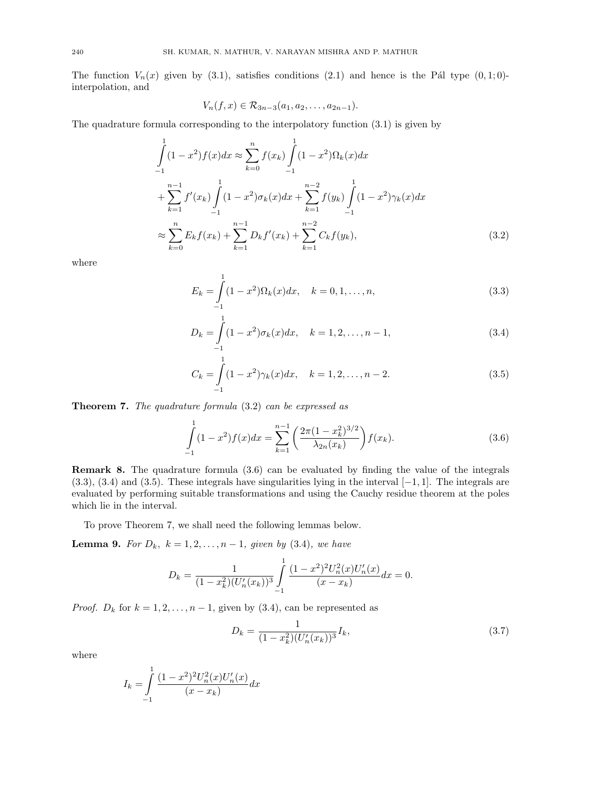The function  $V_n(x)$  given by (3.1), satisfies conditions (2.1) and hence is the P<sup>{a}</sup>l type (0,1; 0)interpolation, and

$$
V_n(f,x) \in \mathcal{R}_{3n-3}(a_1,a_2,\ldots,a_{2n-1}).
$$

The quadrature formula corresponding to the interpolatory function (3.1) is given by

$$
\int_{-1}^{1} (1 - x^2) f(x) dx \approx \sum_{k=0}^{n} f(x_k) \int_{-1}^{1} (1 - x^2) \Omega_k(x) dx
$$
  
+ 
$$
\sum_{k=1}^{n-1} f'(x_k) \int_{-1}^{1} (1 - x^2) \sigma_k(x) dx + \sum_{k=1}^{n-2} f(y_k) \int_{-1}^{1} (1 - x^2) \gamma_k(x) dx
$$
  

$$
\approx \sum_{k=0}^{n} E_k f(x_k) + \sum_{k=1}^{n-1} D_k f'(x_k) + \sum_{k=1}^{n-2} C_k f(y_k),
$$
 (3.2)

where

$$
E_k = \int_{-1}^{1} (1 - x^2) \Omega_k(x) dx, \quad k = 0, 1, \dots, n,
$$
\n(3.3)

$$
D_k = \int_{-1}^{1} (1 - x^2) \sigma_k(x) dx, \quad k = 1, 2, \dots, n - 1,
$$
\n(3.4)

$$
C_k = \int_{-1}^{1} (1 - x^2) \gamma_k(x) dx, \quad k = 1, 2, \dots, n - 2.
$$
 (3.5)

Theorem 7. The quadrature formula (3.2) can be expressed as

$$
\int_{-1}^{1} (1 - x^2) f(x) dx = \sum_{k=1}^{n-1} \left( \frac{2\pi (1 - x_k^2)^{3/2}}{\lambda_{2n}(x_k)} \right) f(x_k).
$$
\n(3.6)

Remark 8. The quadrature formula (3.6) can be evaluated by finding the value of the integrals  $(3.3), (3.4)$  and  $(3.5)$ . These integrals have singularities lying in the interval  $[-1, 1]$ . The integrals are evaluated by performing suitable transformations and using the Cauchy residue theorem at the poles which lie in the interval.

To prove Theorem 7, we shall need the following lemmas below.

**Lemma 9.** For  $D_k$ ,  $k = 1, 2, ..., n - 1$ , given by (3.4), we have

$$
D_k = \frac{1}{(1 - x_k^2)(U_n'(x_k))^3} \int_{-1}^1 \frac{(1 - x^2)^2 U_n^2(x) U_n'(x)}{(x - x_k)} dx = 0.
$$

*Proof.*  $D_k$  for  $k = 1, 2, ..., n - 1$ , given by (3.4), can be represented as

$$
D_k = \frac{1}{(1 - x_k^2)(U_n'(x_k))^3} I_k,
$$
\n(3.7)

where

$$
I_k = \int_{-1}^{1} \frac{(1-x^2)^2 U_n^2(x) U_n'(x)}{(x-x_k)} dx
$$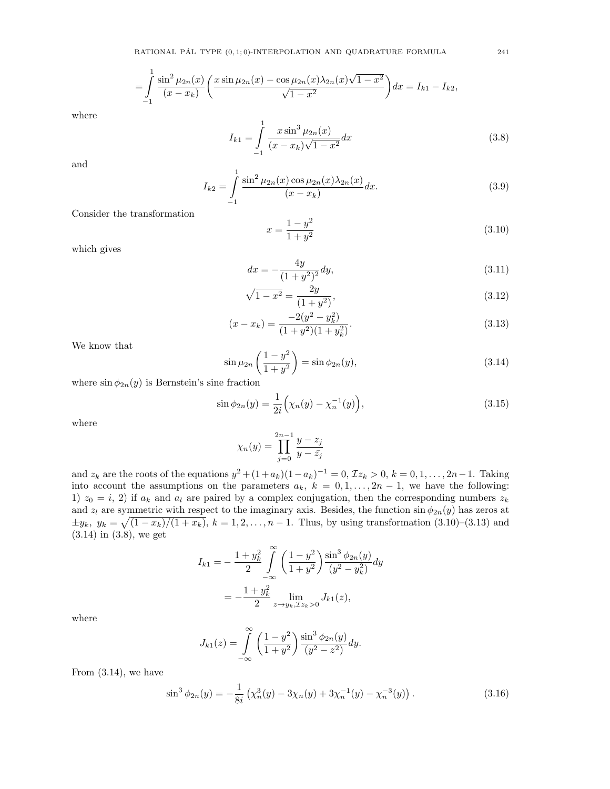$$
= \int_{-1}^{1} \frac{\sin^2 \mu_{2n}(x)}{(x - x_k)} \left( \frac{x \sin \mu_{2n}(x) - \cos \mu_{2n}(x) \lambda_{2n}(x) \sqrt{1 - x^2}}{\sqrt{1 - x^2}} \right) dx = I_{k1} - I_{k2},
$$

$$
I_{k1} = \int_{-1}^{1} \frac{x \sin^3 \mu_{2n}(x)}{(x - x_k)\sqrt{1 - x^2}} dx
$$
\n(3.8)

and

$$
I_{k2} = \int_{-1}^{1} \frac{\sin^2 \mu_{2n}(x) \cos \mu_{2n}(x) \lambda_{2n}(x)}{(x - x_k)} dx.
$$
 (3.9)

Consider the transformation

1

$$
x = \frac{1 - y^2}{1 + y^2} \tag{3.10}
$$

which gives

$$
dx = -\frac{4y}{(1+y^2)^2}dy,\t\t(3.11)
$$

$$
\sqrt{1 - x^2} = \frac{2y}{(1 + y^2)},\tag{3.12}
$$

$$
(x - x_k) = \frac{-2(y^2 - y_k^2)}{(1 + y^2)(1 + y_k^2)}.
$$
\n(3.13)

We know that

$$
\sin \mu_{2n} \left( \frac{1 - y^2}{1 + y^2} \right) = \sin \phi_{2n}(y),\tag{3.14}
$$

where  $\sin \phi_{2n}(y)$  is Bernstein's sine fraction

$$
\sin \phi_{2n}(y) = \frac{1}{2i} \left( \chi_n(y) - \chi_n^{-1}(y) \right),\tag{3.15}
$$

where

$$
\chi_n(y) = \prod_{j=0}^{2n-1} \frac{y - z_j}{y - \bar{z}_j}
$$

and  $z_k$  are the roots of the equations  $y^2 + (1+a_k)(1-a_k)^{-1} = 0$ ,  $\mathcal{I}z_k > 0$ ,  $k = 0, 1, ..., 2n-1$ . Taking into account the assumptions on the parameters  $a_k$ ,  $k = 0, 1, ..., 2n - 1$ , we have the following: 1)  $z_0 = i$ , 2) if  $a_k$  and  $a_l$  are paired by a complex conjugation, then the corresponding numbers  $z_k$ and  $z_l$  are symmetric with respect to the imaginary axis. Besides, the function  $\sin \phi_{2n}(y)$  has zeros at  $\pm y_k, y_k = \sqrt{(1-x_k)/(1+x_k)}, k = 1, 2, \ldots, n-1$ . Thus, by using transformation  $(3.10)$ – $(3.13)$  and (3.14) in (3.8), we get

$$
I_{k1} = -\frac{1+y_k^2}{2} \int_{-\infty}^{\infty} \left( \frac{1-y^2}{1+y^2} \right) \frac{\sin^3 \phi_{2n}(y)}{(y^2 - y_k^2)} dy
$$
  
= 
$$
-\frac{1+y_k^2}{2} \lim_{z \to y_k, \mathcal{I}z_k > 0} J_{k1}(z),
$$

where

$$
J_{k1}(z) = \int_{-\infty}^{\infty} \left( \frac{1 - y^2}{1 + y^2} \right) \frac{\sin^3 \phi_{2n}(y)}{(y^2 - z^2)} dy.
$$

From (3.14), we have

$$
\sin^3 \phi_{2n}(y) = -\frac{1}{8i} \left( \chi_n^3(y) - 3\chi_n(y) + 3\chi_n^{-1}(y) - \chi_n^{-3}(y) \right). \tag{3.16}
$$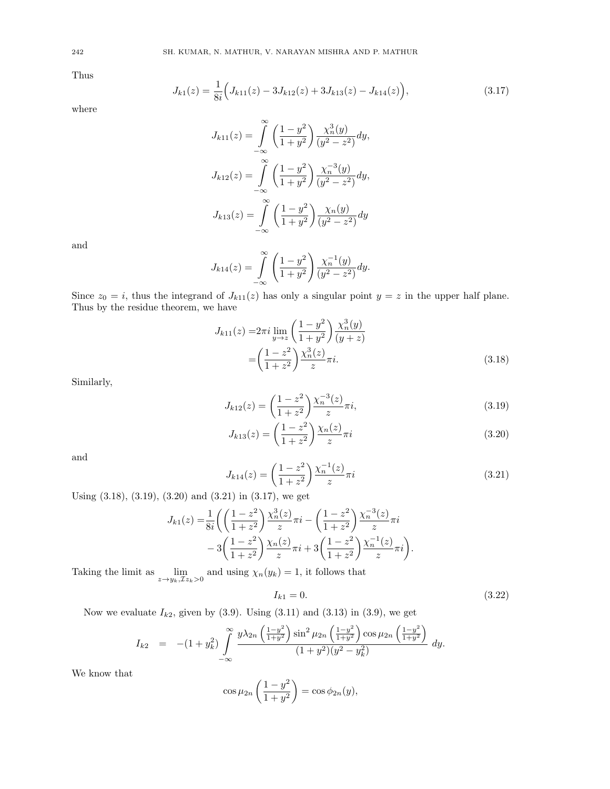Thus

$$
J_{k1}(z) = \frac{1}{8i} \Big( J_{k11}(z) - 3J_{k12}(z) + 3J_{k13}(z) - J_{k14}(z) \Big), \tag{3.17}
$$

where

$$
J_{k11}(z) = \int_{-\infty}^{\infty} \left(\frac{1-y^2}{1+y^2}\right) \frac{\chi_n^3(y)}{(y^2 - z^2)} dy,
$$
  

$$
J_{k12}(z) = \int_{-\infty}^{\infty} \left(\frac{1-y^2}{1+y^2}\right) \frac{\chi_n^{-3}(y)}{(y^2 - z^2)} dy,
$$
  

$$
J_{k13}(z) = \int_{-\infty}^{\infty} \left(\frac{1-y^2}{1+y^2}\right) \frac{\chi_n(y)}{(y^2 - z^2)} dy
$$

and

$$
J_{k14}(z) = \int_{-\infty}^{\infty} \left( \frac{1 - y^2}{1 + y^2} \right) \frac{\chi_n^{-1}(y)}{(y^2 - z^2)} dy.
$$

Since  $z_0 = i$ , thus the integrand of  $J_{k11}(z)$  has only a singular point  $y = z$  in the upper half plane. Thus by the residue theorem, we have

$$
J_{k11}(z) = 2\pi i \lim_{y \to z} \left( \frac{1 - y^2}{1 + y^2} \right) \frac{\chi_n^3(y)}{(y + z)}
$$
  
= 
$$
\left( \frac{1 - z^2}{1 + z^2} \right) \frac{\chi_n^3(z)}{z} \pi i.
$$
 (3.18)

Similarly,

$$
J_{k12}(z) = \left(\frac{1-z^2}{1+z^2}\right) \frac{\chi_n^{-3}(z)}{z} \pi i,
$$
\n(3.19)

$$
J_{k13}(z) = \left(\frac{1-z^2}{1+z^2}\right) \frac{\chi_n(z)}{z} \pi i
$$
\n(3.20)

and

$$
J_{k14}(z) = \left(\frac{1-z^2}{1+z^2}\right) \frac{\chi_n^{-1}(z)}{z} \pi i
$$
\n(3.21)

Using (3.18), (3.19), (3.20) and (3.21) in (3.17), we get

$$
J_{k1}(z) = \frac{1}{8i} \left( \left( \frac{1-z^2}{1+z^2} \right) \frac{\chi_n^3(z)}{z} \pi i - \left( \frac{1-z^2}{1+z^2} \right) \frac{\chi_n^{-3}(z)}{z} \pi i - 3 \left( \frac{1-z^2}{1+z^2} \right) \frac{\chi_n(z)}{z} \pi i + 3 \left( \frac{1-z^2}{1+z^2} \right) \frac{\chi_n^{-1}(z)}{z} \pi i \right).
$$

Taking the limit as  $\lim_{z \to y_k, \mathcal{I}z_k > 0}$  and using  $\chi_n(y_k) = 1$ , it follows that

$$
I_{k1} = 0.\t\t(3.22)
$$

Now we evaluate  $I_{k2}$ , given by (3.9). Using (3.11) and (3.13) in (3.9), we get

$$
I_{k2} = -(1+y_k^2) \int_{-\infty}^{\infty} \frac{y\lambda_{2n} \left(\frac{1-y^2}{1+y^2}\right) \sin^2 \mu_{2n} \left(\frac{1-y^2}{1+y^2}\right) \cos \mu_{2n} \left(\frac{1-y^2}{1+y^2}\right)}{(1+y^2)(y^2-y_k^2)} dy.
$$

We know that

$$
\cos \mu_{2n} \left( \frac{1 - y^2}{1 + y^2} \right) = \cos \phi_{2n}(y),
$$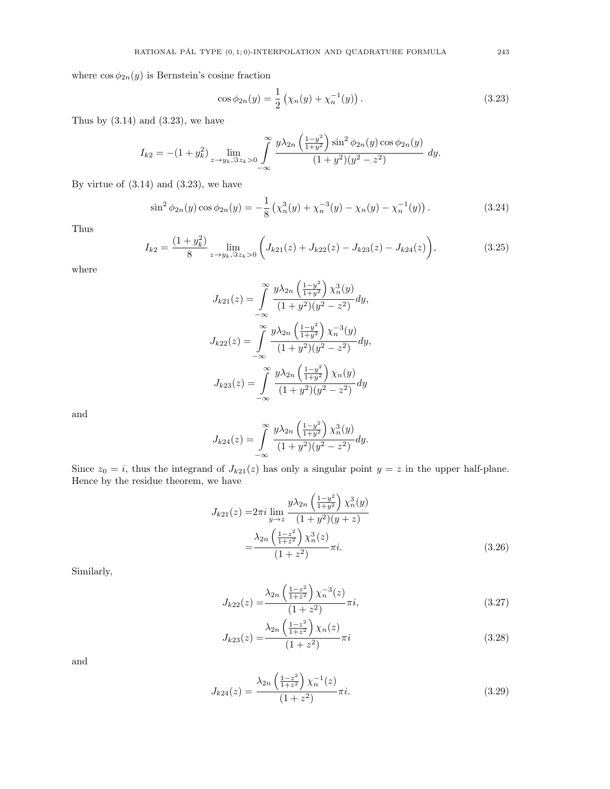where  $\cos \phi_{2n}(y)$  is Bernstein's cosine fraction

$$
\cos \phi_{2n}(y) = \frac{1}{2} \left( \chi_n(y) + \chi_n^{-1}(y) \right). \tag{3.23}
$$

Thus by  $(3.14)$  and  $(3.23)$ , we have

$$
I_{k2} = -(1+y_k^2) \lim_{z \to y_k, \Im z_k > 0} \int_{-\infty}^{\infty} \frac{y\lambda_{2n} \left(\frac{1-y^2}{1+y^2}\right) \sin^2 \phi_{2n}(y) \cos \phi_{2n}(y)}{(1+y^2)(y^2 - z^2)} dy.
$$

By virtue of  $(3.14)$  and  $(3.23)$ , we have

$$
\sin^2 \phi_{2n}(y) \cos \phi_{2n}(y) = -\frac{1}{8} \left( \chi_n^3(y) + \chi_n^{-3}(y) - \chi_n(y) - \chi_n^{-1}(y) \right). \tag{3.24}
$$

Thus

$$
I_{k2} = \frac{(1+y_k^2)}{8} \lim_{z \to y_k, \Im z_k > 0} \left( J_{k21}(z) + J_{k22}(z) - J_{k23}(z) - J_{k24}(z) \right),\tag{3.25}
$$

where

$$
J_{k21}(z) = \int_{-\infty}^{\infty} \frac{y\lambda_{2n} \left(\frac{1-y^2}{1+y^2}\right) \chi_n^3(y)}{(1+y^2)(y^2 - z^2)} dy,
$$
  

$$
J_{k22}(z) = \int_{-\infty}^{\infty} \frac{y\lambda_{2n} \left(\frac{1-y^2}{1+y^2}\right) \chi_n^{-3}(y)}{(1+y^2)(y^2 - z^2)} dy,
$$
  

$$
J_{k23}(z) = \int_{-\infty}^{\infty} \frac{y\lambda_{2n} \left(\frac{1-y^2}{1+y^2}\right) \chi_n(y)}{(1+y^2)(y^2 - z^2)} dy
$$

and

$$
J_{k24}(z) = \int_{-\infty}^{\infty} \frac{y\lambda_{2n} \left(\frac{1-y^2}{1+y^2}\right) \chi_n^3(y)}{(1+y^2)(y^2 - z^2)} dy.
$$

Since  $z_0 = i$ , thus the integrand of  $J_{k21}(z)$  has only a singular point  $y = z$  in the upper half-plane. Hence by the residue theorem, we have

$$
J_{k21}(z) = 2\pi i \lim_{y \to z} \frac{y\lambda_{2n} \left(\frac{1-y^2}{1+y^2}\right) \chi_n^3(y)}{(1+y^2)(y+z)}
$$

$$
= \frac{\lambda_{2n} \left(\frac{1-z^2}{1+z^2}\right) \chi_n^3(z)}{(1+z^2)} \pi i.
$$
(3.26)

Similarly,

$$
J_{k22}(z) = \frac{\lambda_{2n} \left(\frac{1-z^2}{1+z^2}\right) \chi_n^{-3}(z)}{(1+z^2)} \pi i,
$$
\n(3.27)

$$
J_{k23}(z) = \frac{\lambda_{2n} \left(\frac{1-z^2}{1+z^2}\right) \chi_n(z)}{(1+z^2)} \pi i
$$
\n(3.28)

and

$$
J_{k24}(z) = \frac{\lambda_{2n} \left(\frac{1-z^2}{1+z^2}\right) \chi_n^{-1}(z)}{(1+z^2)} \pi i.
$$
 (3.29)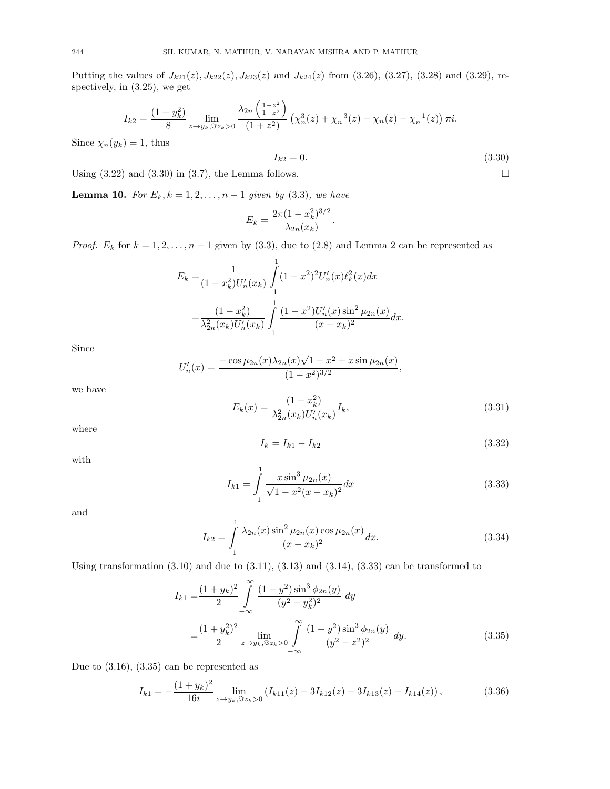Putting the values of  $J_{k21}(z)$ ,  $J_{k22}(z)$ ,  $J_{k23}(z)$  and  $J_{k24}(z)$  from (3.26), (3.27), (3.28) and (3.29), respectively, in (3.25), we get

$$
I_{k2} = \frac{(1+y_k^2)}{8} \lim_{z \to y_k, \Im z_k > 0} \frac{\lambda_{2n} \left(\frac{1-z^2}{1+z^2}\right)}{(1+z^2)} \left(\chi_n^3(z) + \chi_n^{-3}(z) - \chi_n(z) - \chi_n^{-1}(z)\right) \pi i.
$$

Since  $\chi_n(y_k) = 1$ , thus

$$
I_{k2} = 0.\t\t(3.30)
$$

Using  $(3.22)$  and  $(3.30)$  in  $(3.7)$ , the Lemma follows.

**Lemma 10.** For  $E_k, k = 1, 2, ..., n - 1$  given by (3.3), we have

$$
E_k = \frac{2\pi (1 - x_k^2)^{3/2}}{\lambda_{2n}(x_k)}.
$$

*Proof.*  $E_k$  for  $k = 1, 2, ..., n - 1$  given by (3.3), due to (2.8) and Lemma 2 can be represented as

$$
E_k = \frac{1}{(1 - x_k^2)U'_n(x_k)} \int_{-1}^1 (1 - x^2)^2 U'_n(x) \ell_k^2(x) dx
$$
  
= 
$$
\frac{(1 - x_k^2)}{\lambda_{2n}^2(x_k)U'_n(x_k)} \int_{-1}^1 \frac{(1 - x^2)U'_n(x) \sin^2 \mu_{2n}(x)}{(x - x_k)^2} dx.
$$

Since

$$
U'_n(x) = \frac{-\cos\mu_{2n}(x)\lambda_{2n}(x)\sqrt{1-x^2} + x\sin\mu_{2n}(x)}{(1-x^2)^{3/2}},
$$

we have

$$
E_k(x) = \frac{(1 - x_k^2)}{\lambda_{2n}^2(x_k)U'_n(x_k)}I_k,
$$
\n(3.31)

where

$$
I_k = I_{k1} - I_{k2} \tag{3.32}
$$

with

$$
I_{k1} = \int_{-1}^{1} \frac{x \sin^3 \mu_{2n}(x)}{\sqrt{1 - x^2}(x - x_k)^2} dx
$$
 (3.33)

and

$$
I_{k2} = \int_{-1}^{1} \frac{\lambda_{2n}(x) \sin^2 \mu_{2n}(x) \cos \mu_{2n}(x)}{(x - x_k)^2} dx.
$$
 (3.34)

Using transformation  $(3.10)$  and due to  $(3.11)$ ,  $(3.13)$  and  $(3.14)$ ,  $(3.33)$  can be transformed to

$$
I_{k1} = \frac{(1+y_k)^2}{2} \int_{-\infty}^{\infty} \frac{(1-y^2)\sin^3 \phi_{2n}(y)}{(y^2-y_k^2)^2} dy
$$
  
= 
$$
\frac{(1+y_k^2)^2}{2} \lim_{z \to y_k, \Im z_k > 0} \int_{-\infty}^{\infty} \frac{(1-y^2)\sin^3 \phi_{2n}(y)}{(y^2-z^2)^2} dy.
$$
 (3.35)

Due to (3.16), (3.35) can be represented as

$$
I_{k1} = -\frac{(1+y_k)^2}{16i} \lim_{z \to y_k, \Im z_k > 0} \left( I_{k11}(z) - 3I_{k12}(z) + 3I_{k13}(z) - I_{k14}(z) \right),\tag{3.36}
$$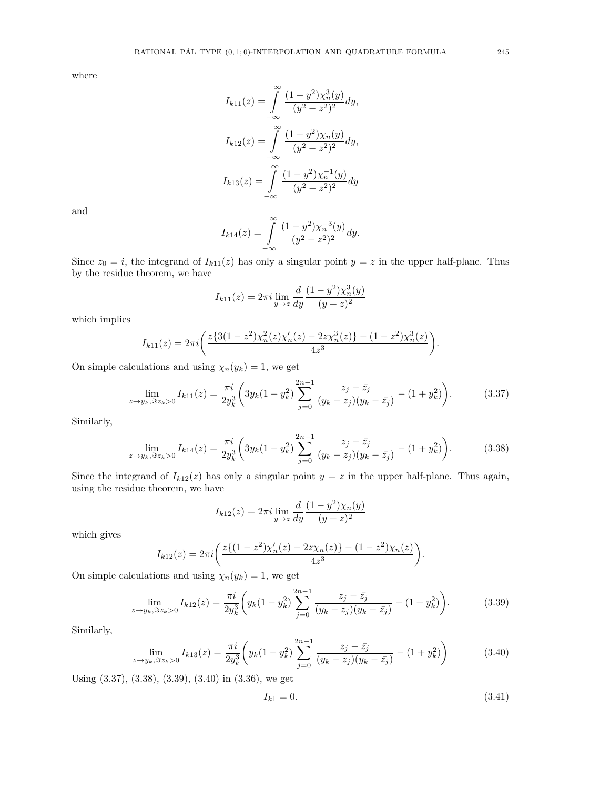$$
I_{k11}(z) = \int_{-\infty}^{\infty} \frac{(1 - y^2)\chi_n^3(y)}{(y^2 - z^2)^2} dy,
$$
  

$$
I_{k12}(z) = \int_{-\infty}^{\infty} \frac{(1 - y^2)\chi_n(y)}{(y^2 - z^2)^2} dy,
$$
  

$$
I_{k13}(z) = \int_{-\infty}^{\infty} \frac{(1 - y^2)\chi_n^{-1}(y)}{(y^2 - z^2)^2} dy
$$

and

$$
I_{k14}(z) = \int_{-\infty}^{\infty} \frac{(1-y^2)\chi_n^{-3}(y)}{(y^2-z^2)^2} dy.
$$

Since  $z_0 = i$ , the integrand of  $I_{k11}(z)$  has only a singular point  $y = z$  in the upper half-plane. Thus by the residue theorem, we have

$$
I_{k11}(z) = 2\pi i \lim_{y \to z} \frac{d}{dy} \frac{(1 - y^2)\chi_n^3(y)}{(y + z)^2}
$$

which implies

$$
I_{k11}(z) = 2\pi i \left( \frac{z\{3(1-z^2)\chi_n^2(z)\chi_n'(z) - 2z\chi_n^3(z)\} - (1-z^2)\chi_n^3(z)}{4z^3} \right).
$$

On simple calculations and using  $\chi_n(y_k) = 1$ , we get

$$
\lim_{z \to y_k, \Im z_k > 0} I_{k11}(z) = \frac{\pi i}{2y_k^3} \left( 3y_k (1 - y_k^2) \sum_{j=0}^{2n-1} \frac{z_j - \bar{z}_j}{(y_k - z_j)(y_k - \bar{z}_j)} - (1 + y_k^2) \right). \tag{3.37}
$$

Similarly,

$$
\lim_{z \to y_k, \Im z_k > 0} I_{k14}(z) = \frac{\pi i}{2y_k^3} \left( 3y_k (1 - y_k^2) \sum_{j=0}^{2n-1} \frac{z_j - \bar{z}_j}{(y_k - z_j)(y_k - \bar{z}_j)} - (1 + y_k^2) \right). \tag{3.38}
$$

Since the integrand of  $I_{k12}(z)$  has only a singular point  $y = z$  in the upper half-plane. Thus again, using the residue theorem, we have

$$
I_{k12}(z) = 2\pi i \lim_{y \to z} \frac{d}{dy} \frac{(1 - y^2)\chi_n(y)}{(y + z)^2}
$$

which gives

$$
I_{k12}(z) = 2\pi i \left( \frac{z\{(1-z^2)\chi'_n(z) - 2z\chi_n(z)\} - (1-z^2)\chi_n(z)}{4z^3} \right).
$$

On simple calculations and using  $\chi_n(y_k) = 1$ , we get

$$
\lim_{z \to y_k, \Im z_k > 0} I_{k12}(z) = \frac{\pi i}{2y_k^3} \left( y_k (1 - y_k^2) \sum_{j=0}^{2n-1} \frac{z_j - \bar{z}_j}{(y_k - z_j)(y_k - \bar{z}_j)} - (1 + y_k^2) \right).
$$
(3.39)

Similarly,

$$
\lim_{z \to y_k, \Im z_k > 0} I_{k13}(z) = \frac{\pi i}{2y_k^3} \left( y_k (1 - y_k^2) \sum_{j=0}^{2n-1} \frac{z_j - \bar{z}_j}{(y_k - z_j)(y_k - \bar{z}_j)} - (1 + y_k^2) \right)
$$
(3.40)

Using (3.37), (3.38), (3.39), (3.40) in (3.36), we get

$$
I_{k1} = 0.\t\t(3.41)
$$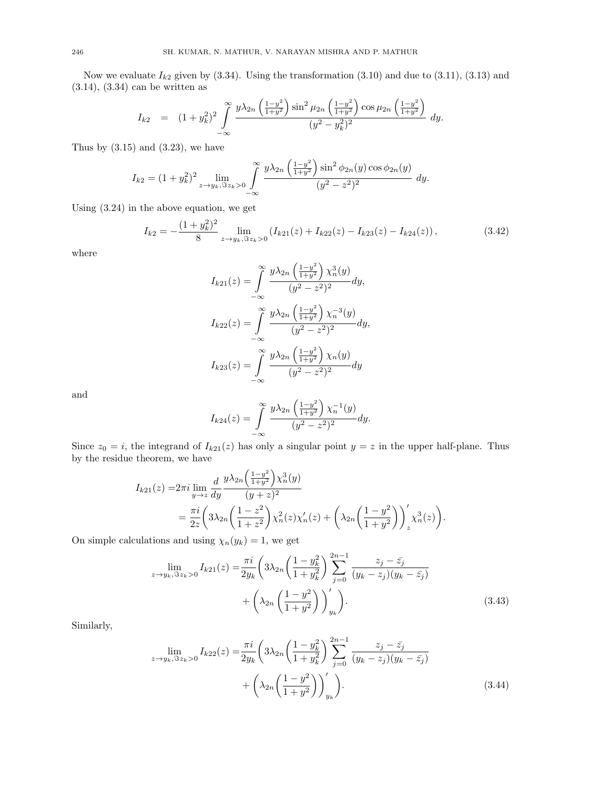Now we evaluate  $I_{k2}$  given by (3.34). Using the transformation (3.10) and due to (3.11), (3.13) and (3.14), (3.34) can be written as

$$
I_{k2} = (1+y_k^2)^2 \int_{-\infty}^{\infty} \frac{y\lambda_{2n} \left(\frac{1-y^2}{1+y^2}\right) \sin^2 \mu_{2n} \left(\frac{1-y^2}{1+y^2}\right) \cos \mu_{2n} \left(\frac{1-y^2}{1+y^2}\right)}{(y^2-y_k^2)^2} dy.
$$

Thus by  $(3.15)$  and  $(3.23)$ , we have

$$
I_{k2} = (1 + y_k^2)^2 \lim_{z \to y_k, \Im z_k > 0} \int_{-\infty}^{\infty} \frac{y \lambda_{2n} \left(\frac{1 - y^2}{1 + y^2}\right) \sin^2 \phi_{2n}(y) \cos \phi_{2n}(y)}{(y^2 - z^2)^2} dy.
$$

Using (3.24) in the above equation, we get

$$
I_{k2} = -\frac{(1+y_k^2)^2}{8} \lim_{z \to y_k, \Im z_k > 0} \left( I_{k21}(z) + I_{k22}(z) - I_{k23}(z) - I_{k24}(z) \right),\tag{3.42}
$$

where

$$
I_{k21}(z) = \int_{-\infty}^{\infty} \frac{y\lambda_{2n} \left(\frac{1-y^2}{1+y^2}\right) \chi_n^3(y)}{(y^2 - z^2)^2} dy,
$$
  

$$
I_{k22}(z) = \int_{-\infty}^{\infty} \frac{y\lambda_{2n} \left(\frac{1-y^2}{1+y^2}\right) \chi_n^{-3}(y)}{(y^2 - z^2)^2} dy,
$$
  

$$
I_{k23}(z) = \int_{-\infty}^{\infty} \frac{y\lambda_{2n} \left(\frac{1-y^2}{1+y^2}\right) \chi_n(y)}{(y^2 - z^2)^2} dy
$$

and

$$
I_{k24}(z) = \int_{-\infty}^{\infty} \frac{y\lambda_{2n} \left(\frac{1-y^2}{1+y^2}\right) \chi_n^{-1}(y)}{(y^2 - z^2)^2} dy.
$$

Since  $z_0 = i$ , the integrand of  $I_{k21}(z)$  has only a singular point  $y = z$  in the upper half-plane. Thus by the residue theorem, we have

 $\overline{ }$ 

$$
I_{k21}(z) = 2\pi i \lim_{y \to z} \frac{d}{dy} \frac{y\lambda_{2n} \left(\frac{1-y^2}{1+y^2}\right) \chi_n^3(y)}{(y+z)^2}
$$
  
= 
$$
\frac{\pi i}{2z} \left(3\lambda_{2n} \left(\frac{1-z^2}{1+z^2}\right) \chi_n^2(z) \chi_n'(z) + \left(\lambda_{2n} \left(\frac{1-y^2}{1+y^2}\right)\right)'_z \chi_n^3(z)\right).
$$

On simple calculations and using  $\chi_n(y_k) = 1$ , we get

$$
\lim_{z \to y_k, \Im z_k > 0} I_{k21}(z) = \frac{\pi i}{2y_k} \left( 3\lambda_{2n} \left( \frac{1 - y_k^2}{1 + y_k^2} \right) \sum_{j=0}^{2n-1} \frac{z_j - \bar{z}_j}{(y_k - z_j)(y_k - \bar{z}_j)} + \left( \lambda_{2n} \left( \frac{1 - y^2}{1 + y^2} \right) \right)'_{y_k} \right). \tag{3.43}
$$

Similarly,

$$
\lim_{z \to y_k, \Im z_k > 0} I_{k22}(z) = \frac{\pi i}{2y_k} \left( 3\lambda_{2n} \left( \frac{1 - y_k^2}{1 + y_k^2} \right) \sum_{j=0}^{2n-1} \frac{z_j - \bar{z}_j}{(y_k - z_j)(y_k - \bar{z}_j)} + \left( \lambda_{2n} \left( \frac{1 - y^2}{1 + y^2} \right) \right)'_{y_k} \right).
$$
\n(3.44)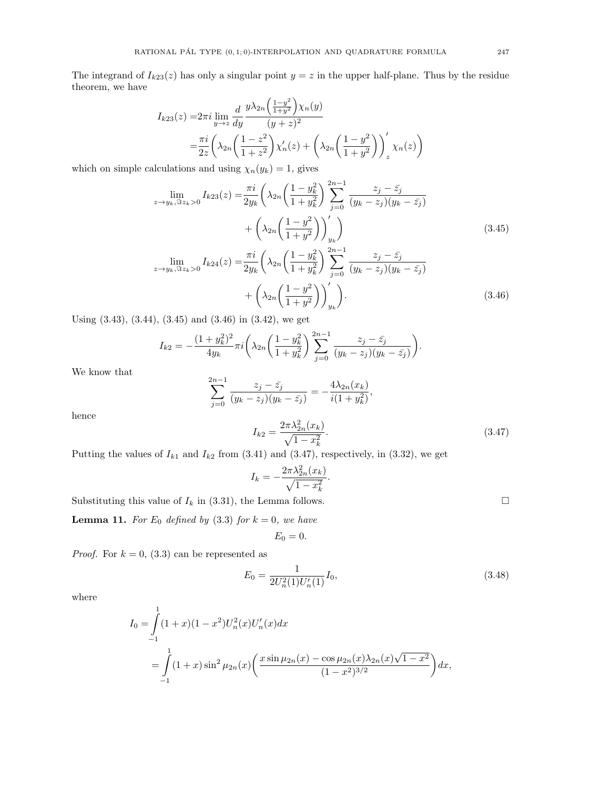The integrand of  $I_{k23}(z)$  has only a singular point  $y = z$  in the upper half-plane. Thus by the residue theorem, we have

$$
I_{k23}(z) = 2\pi i \lim_{y \to z} \frac{d}{dy} \frac{y\lambda_{2n} \left(\frac{1-y^2}{1+y^2}\right) \chi_n(y)}{(y+z)^2}
$$
  
=  $\frac{\pi i}{2z} \left( \lambda_{2n} \left( \frac{1-z^2}{1+z^2} \right) \chi'_n(z) + \left( \lambda_{2n} \left( \frac{1-y^2}{1+y^2} \right) \right)'_z \chi_n(z) \right)$ 

which on simple calculations and using  $\chi_n(y_k) = 1$ , gives

$$
\lim_{z \to y_k, \Im z_k > 0} I_{k23}(z) = \frac{\pi i}{2y_k} \left( \lambda_{2n} \left( \frac{1 - y_k^2}{1 + y_k^2} \right) \sum_{j=0}^{2n-1} \frac{z_j - \bar{z}_j}{(y_k - z_j)(y_k - \bar{z}_j)} + \left( \lambda_{2n} \left( \frac{1 - y^2}{1 + y^2} \right) \right)'_{y_k} \right)
$$
\n
$$
\lim_{z \to z_k, \Im z_k \to 0} I_{k24}(z) = \frac{\pi i}{2n} \left( \lambda_{2n} \left( \frac{1 - y_k^2}{1 + z^2} \right) \sum_{j=0}^{2n-1} \frac{z_j - \bar{z}_j}{(y_k - y_k)(y_k - \bar{z}_j)} \right)
$$
\n(3.45)

$$
\lim_{z \to y_k, \Im z_k > 0} I_{k24}(z) = \frac{\hbar v}{2y_k} \left( \lambda_{2n} \left( \frac{1 - y_k}{1 + y_k^2} \right) \sum_{j=0} \frac{z_j - z_j}{(y_k - z_j)(y_k - \bar{z}_j)} + \left( \lambda_{2n} \left( \frac{1 - y^2}{1 + y^2} \right) \right)'_{y_k} \right).
$$
\n(3.46)

Using (3.43), (3.44), (3.45) and (3.46) in (3.42), we get

$$
I_{k2} = -\frac{(1+y_k^2)^2}{4y_k}\pi i \left(\lambda_{2n} \left(\frac{1-y_k^2}{1+y_k^2}\right) \sum_{j=0}^{2n-1} \frac{z_j - \bar{z}_j}{(y_k - z_j)(y_k - \bar{z}_j)}\right).
$$

We know that

$$
\sum_{j=0}^{2n-1} \frac{z_j - \bar{z}_j}{(y_k - z_j)(y_k - \bar{z}_j)} = -\frac{4\lambda_{2n}(x_k)}{i(1 + y_k^2)},
$$

$$
I_{k2} = \frac{2\pi\lambda_{2n}^2(x_k)}{(1 + y_k^2)}.
$$
(3.47)

hence

$$
\sqrt{1-x_k^2}
$$

Putting the values of  $I_{k1}$  and  $I_{k2}$  from (3.41) and (3.47), respectively, in (3.32), we get

$$
I_k = -\frac{2\pi\lambda_{2n}^2(x_k)}{\sqrt{1-x_k^2}}.
$$

Substituting this value of  $I_k$  in (3.31), the Lemma follows.  $\Box$ 

**Lemma 11.** For  $E_0$  defined by (3.3) for  $k = 0$ , we have

$$
E_0=0.
$$

*Proof.* For  $k = 0$ , (3.3) can be represented as

$$
E_0 = \frac{1}{2U_n^2(1)U_n'(1)}I_0,\t\t(3.48)
$$

where

$$
I_0 = \int_{-1}^{1} (1+x)(1-x^2)U_n^2(x)U_n'(x)dx
$$
  
= 
$$
\int_{-1}^{1} (1+x)\sin^2 \mu_{2n}(x)\left(\frac{x\sin \mu_{2n}(x) - \cos \mu_{2n}(x)\lambda_{2n}(x)\sqrt{1-x^2}}{(1-x^2)^{3/2}}\right)dx,
$$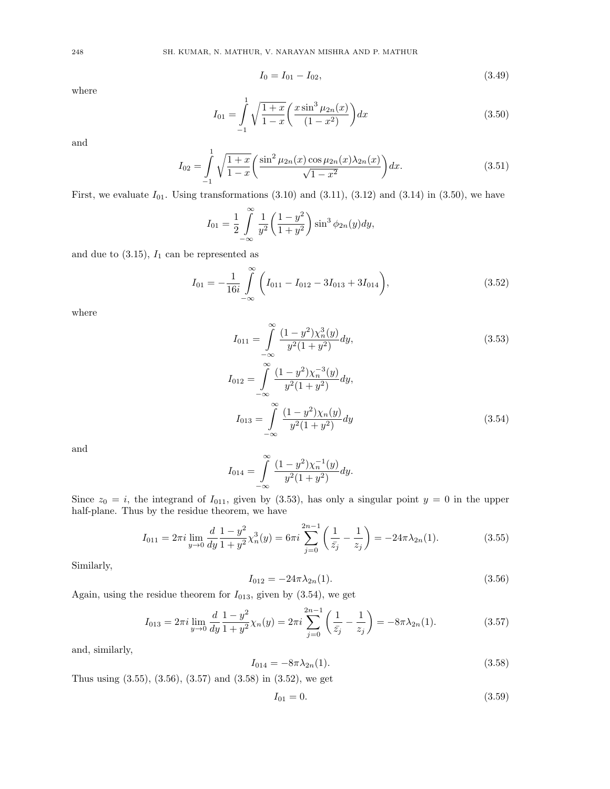$$
I_0 = I_{01} - I_{02}, \t\t(3.49)
$$

$$
I_{01} = \int_{-1}^{1} \sqrt{\frac{1+x}{1-x}} \left(\frac{x\sin^3\mu_{2n}(x)}{(1-x^2)}\right) dx\tag{3.50}
$$

and

$$
I_{02} = \int_{-1}^{1} \sqrt{\frac{1+x}{1-x}} \left( \frac{\sin^2 \mu_{2n}(x) \cos \mu_{2n}(x) \lambda_{2n}(x)}{\sqrt{1-x^2}} \right) dx.
$$
 (3.51)

First, we evaluate  $I_{01}$ . Using transformations  $(3.10)$  and  $(3.11)$ ,  $(3.12)$  and  $(3.14)$  in  $(3.50)$ , we have

$$
I_{01} = \frac{1}{2} \int_{-\infty}^{\infty} \frac{1}{y^2} \left( \frac{1 - y^2}{1 + y^2} \right) \sin^3 \phi_{2n}(y) dy,
$$

and due to  $(3.15)$ ,  $I_1$  can be represented as

$$
I_{01} = -\frac{1}{16i} \int_{-\infty}^{\infty} \left( I_{011} - I_{012} - 3I_{013} + 3I_{014} \right), \tag{3.52}
$$

where

$$
I_{011} = \int_{-\infty}^{\infty} \frac{(1 - y^2)\chi_n^3(y)}{y^2(1 + y^2)} dy,
$$
\n
$$
I_{012} = \int_{-\infty}^{\infty} \frac{(1 - y^2)\chi_n^{-3}(y)}{y^2(1 + y^2)} dy,
$$
\n
$$
I_{013} = \int_{-\infty}^{\infty} \frac{(1 - y^2)\chi_n(y)}{y^2(1 + y^2)} dy
$$
\n(3.54)

and

$$
I_{014} = \int_{-\infty}^{\infty} \frac{(1 - y^2)\chi_n^{-1}(y)}{y^2(1 + y^2)} dy.
$$

Since  $z_0 = i$ , the integrand of  $I_{011}$ , given by (3.53), has only a singular point  $y = 0$  in the upper half-plane. Thus by the residue theorem, we have

$$
I_{011} = 2\pi i \lim_{y \to 0} \frac{d}{dy} \frac{1 - y^2}{1 + y^2} \chi_n^3(y) = 6\pi i \sum_{j=0}^{2n-1} \left( \frac{1}{\bar{z}_j} - \frac{1}{z_j} \right) = -24\pi \lambda_{2n}(1). \tag{3.55}
$$

Similarly,

$$
I_{012} = -24\pi\lambda_{2n}(1). \tag{3.56}
$$

Again, using the residue theorem for  $I_{013}$ , given by  $(3.54)$ , we get

$$
I_{013} = 2\pi i \lim_{y \to 0} \frac{d}{dy} \frac{1 - y^2}{1 + y^2} \chi_n(y) = 2\pi i \sum_{j=0}^{2n-1} \left( \frac{1}{\bar{z}_j} - \frac{1}{z_j} \right) = -8\pi \lambda_{2n}(1). \tag{3.57}
$$

and, similarly,

$$
I_{014} = -8\pi\lambda_{2n}(1). \tag{3.58}
$$

Thus using (3.55), (3.56), (3.57) and (3.58) in (3.52), we get

$$
I_{01} = 0.\t\t(3.59)
$$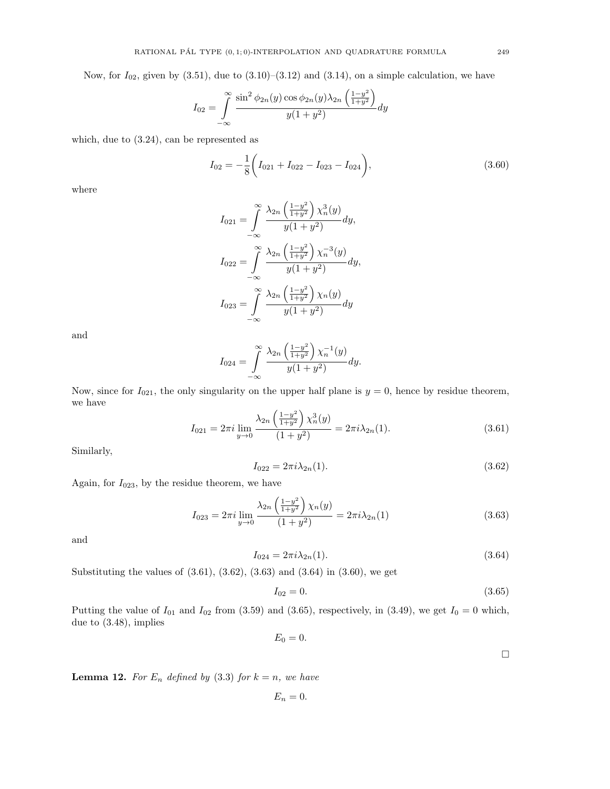Now, for  $I_{02}$ , given by  $(3.51)$ , due to  $(3.10)$ – $(3.12)$  and  $(3.14)$ , on a simple calculation, we have

$$
I_{02} = \int_{-\infty}^{\infty} \frac{\sin^2 \phi_{2n}(y) \cos \phi_{2n}(y) \lambda_{2n} \left(\frac{1-y^2}{1+y^2}\right)}{y(1+y^2)} dy
$$

which, due to (3.24), can be represented as

$$
I_{02} = -\frac{1}{8} \left( I_{021} + I_{022} - I_{023} - I_{024} \right),
$$
\n(3.60)

where

$$
I_{021} = \int_{-\infty}^{\infty} \frac{\lambda_{2n} \left(\frac{1-y^2}{1+y^2}\right) \chi_n^3(y)}{y(1+y^2)} dy,
$$
  
\n
$$
I_{022} = \int_{-\infty}^{\infty} \frac{\lambda_{2n} \left(\frac{1-y^2}{1+y^2}\right) \chi_n^{-3}(y)}{y(1+y^2)} dy,
$$
  
\n
$$
I_{023} = \int_{-\infty}^{\infty} \frac{\lambda_{2n} \left(\frac{1-y^2}{1+y^2}\right) \chi_n(y)}{y(1+y^2)} dy
$$

and

$$
I_{024} = \int_{-\infty}^{\infty} \frac{\lambda_{2n} \left(\frac{1-y^2}{1+y^2}\right) \chi_n^{-1}(y)}{y(1+y^2)} dy.
$$

Now, since for  $I_{021}$ , the only singularity on the upper half plane is  $y = 0$ , hence by residue theorem, we have

$$
I_{021} = 2\pi i \lim_{y \to 0} \frac{\lambda_{2n} \left(\frac{1-y^2}{1+y^2}\right) \chi_n^3(y)}{(1+y^2)} = 2\pi i \lambda_{2n}(1). \tag{3.61}
$$

Similarly,

$$
I_{022} = 2\pi i \lambda_{2n}(1). \tag{3.62}
$$

Again, for  $I_{023}$ , by the residue theorem, we have

$$
I_{023} = 2\pi i \lim_{y \to 0} \frac{\lambda_{2n} \left(\frac{1-y^2}{1+y^2}\right) \chi_n(y)}{(1+y^2)} = 2\pi i \lambda_{2n}(1) \tag{3.63}
$$

and

$$
I_{024} = 2\pi i \lambda_{2n}(1). \tag{3.64}
$$

Substituting the values of  $(3.61), (3.62), (3.63)$  and  $(3.64)$  in  $(3.60)$ , we get

$$
I_{02} = 0.\t\t(3.65)
$$

Putting the value of  $I_{01}$  and  $I_{02}$  from (3.59) and (3.65), respectively, in (3.49), we get  $I_0 = 0$  which, due to (3.48), implies

$$
E_0=0.
$$

 $\Box$ 

**Lemma 12.** For  $E_n$  defined by (3.3) for  $k = n$ , we have

$$
E_n=0.
$$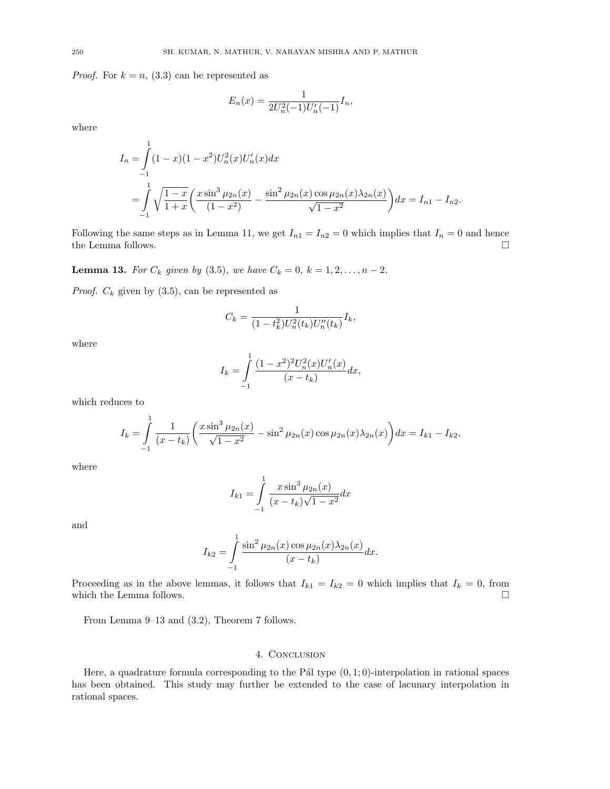*Proof.* For  $k = n$ , (3.3) can be represented as

$$
E_n(x) = \frac{1}{2U_n^2(-1)U_n'(-1)}I_n,
$$

where

$$
I_n = \int_{-1}^{1} (1-x)(1-x^2)U_n^2(x)U_n'(x)dx
$$
  
= 
$$
\int_{-1}^{1} \sqrt{\frac{1-x}{1+x}} \left(\frac{x\sin^3\mu_{2n}(x)}{(1-x^2)} - \frac{\sin^2\mu_{2n}(x)\cos\mu_{2n}(x)\lambda_{2n}(x)}{\sqrt{1-x^2}}\right)dx = I_{n1} - I_{n2}.
$$

Following the same steps as in Lemma 11, we get  $I_{n1} = I_{n2} = 0$  which implies that  $I_n = 0$  and hence the Lemma follows.  $\hfill \square$ 

**Lemma 13.** For  $C_k$  given by (3.5), we have  $C_k = 0$ ,  $k = 1, 2, ..., n - 2$ .

*Proof.*  $C_k$  given by  $(3.5)$ , can be represented as

$$
C_k = \frac{1}{(1 - t_k^2)U_n^2(t_k)U_n''(t_k)}I_k,
$$

where

$$
I_k = \int_{-1}^{1} \frac{(1-x^2)^2 U_n^2(x) U_n'(x)}{(x-t_k)} dx,
$$

which reduces to

$$
I_k = \int_{-1}^{1} \frac{1}{(x - t_k)} \left( \frac{x \sin^3 \mu_{2n}(x)}{\sqrt{1 - x^2}} - \sin^2 \mu_{2n}(x) \cos \mu_{2n}(x) \lambda_{2n}(x) \right) dx = I_{k1} - I_{k2},
$$

where

$$
I_{k1} = \int_{-1}^{1} \frac{x \sin^3 \mu_{2n}(x)}{(x - t_k)\sqrt{1 - x^2}} dx
$$

and

$$
I_{k2} = \int_{-1}^{1} \frac{\sin^2 \mu_{2n}(x) \cos \mu_{2n}(x) \lambda_{2n}(x)}{(x - t_k)} dx.
$$

Proceeding as in the above lemmas, it follows that  $I_{k1} = I_{k2} = 0$  which implies that  $I_k = 0$ , from which the Lemma follows.  $\hfill \square$ 

From Lemma 9–13 and (3.2), Theorem 7 follows.

#### 4. Conclusion

Here, a quadrature formula corresponding to the Pál type  $(0, 1; 0)$ -interpolation in rational spaces has been obtained. This study may further be extended to the case of lacunary interpolation in rational spaces.